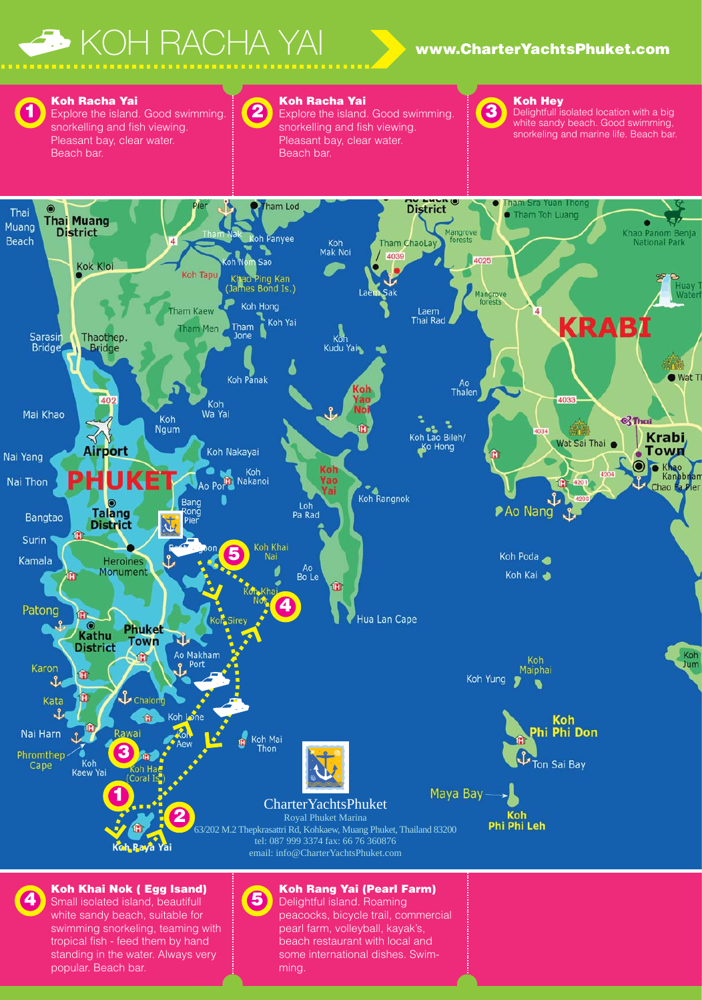# KOH RACHA YAI **www.CharterYachtsPhuket.com**



**Koh Racha Yai** Explore the island. Good swimming. snorkelling and fish viewing. Pleasant bay, clear water.

Beach bar.

### **Koh Racha Yai**

**2**

Explore the island. Good swimming. snorkelling and fish viewing. Pleasant bay, clear water. Beach bar.



### **Koh Hey**

Delightfull isolated location with a big white sandy beach. Good swimming, snorkeling and marine life. Beach bar.



Small isolated island, beautifull white sandy beach, suitable for swimming snorkeling, teaming with tropical fish - feed them by hand standing in the water. Always very popular. Beach bar.

Delightful island. Roaming peacocks, bicycle trail, commercial pearl farm, volleyball, kayak's, beach restaurant with local and

some international dishes. Swim-

ming.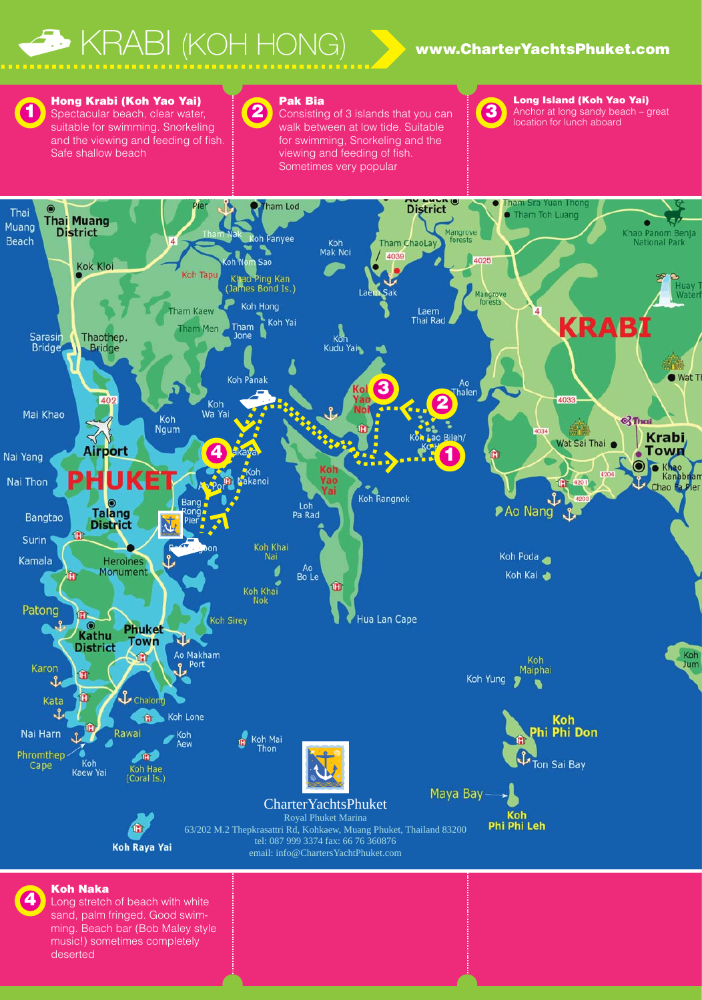## KRABI (KOH HONG) **www.CharterYachtsPhuket.com**



**Hong Krabi (Koh Yao Yai)** Spectacular beach, clear water, suitable for swimming. Snorkeling and the viewing and feeding of fish. Safe shallow beach

### **2 Pak Bia**

Consisting of 3 islands that you can walk between at low tide. Suitable for swimming, Snorkeling and the viewing and feeding of fish. Sometimes very popular



**Long Island (Koh Yao Yai)** Anchor at long sandy beach – great location for lunch aboard



**Koh Naka**

**4**

Long stretch of beach with white sand, palm fringed. Good swimming. Beach bar (Bob Maley style music!) sometimes completely deserted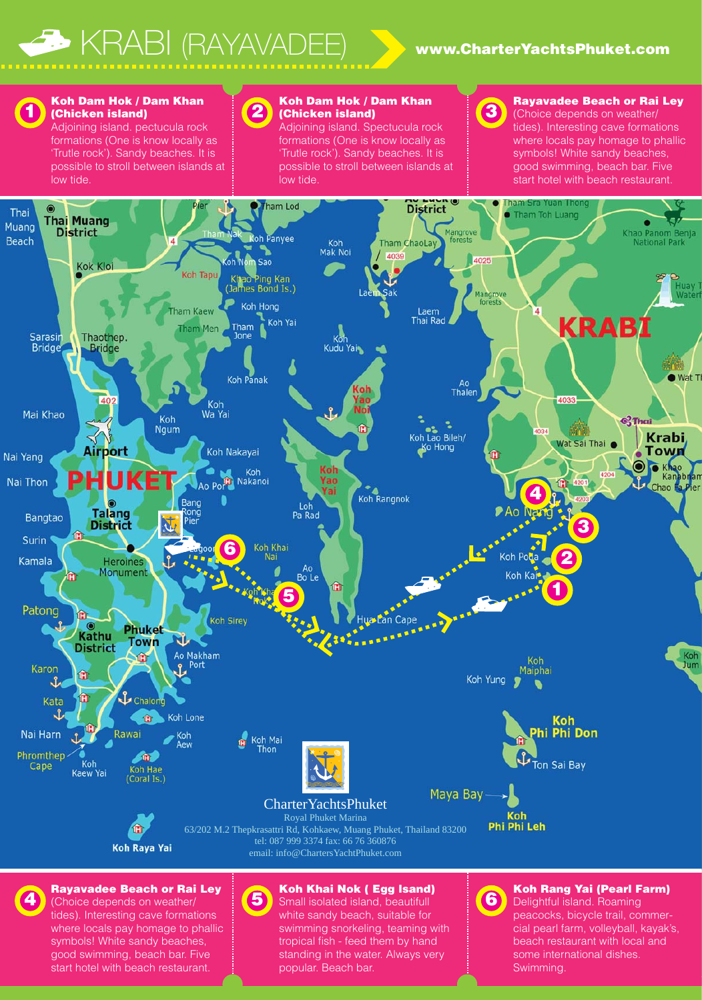

**1**

### **Koh Dam Hok / Dam Khan (Chicken island)**

Adjoining island. pectucula rock formations (One is know locally as 'Trutle rock'). Sandy beaches. It is possible to stroll between islands at low tide.

## **2**

**Koh Dam Hok / Dam Khan (Chicken island)**

Adjoining island. Spectucula rock formations (One is know locally as 'Trutle rock'). Sandy beaches. It is possible to stroll between islands at low tide.

**3**

### **Rayavadee Beach or Rai Ley**

(Choice depends on weather/ tides). Interesting cave formations where locals pay homage to phallic symbols! White sandy beaches, good swimming, beach bar. Five start hotel with beach restaurant.

some international dishes.

Swimming.



symbols! White sandy beaches, good swimming, beach bar. Five start hotel with beach restaurant.

tropical fish - feed them by hand standing in the water. Always very popular. Beach bar.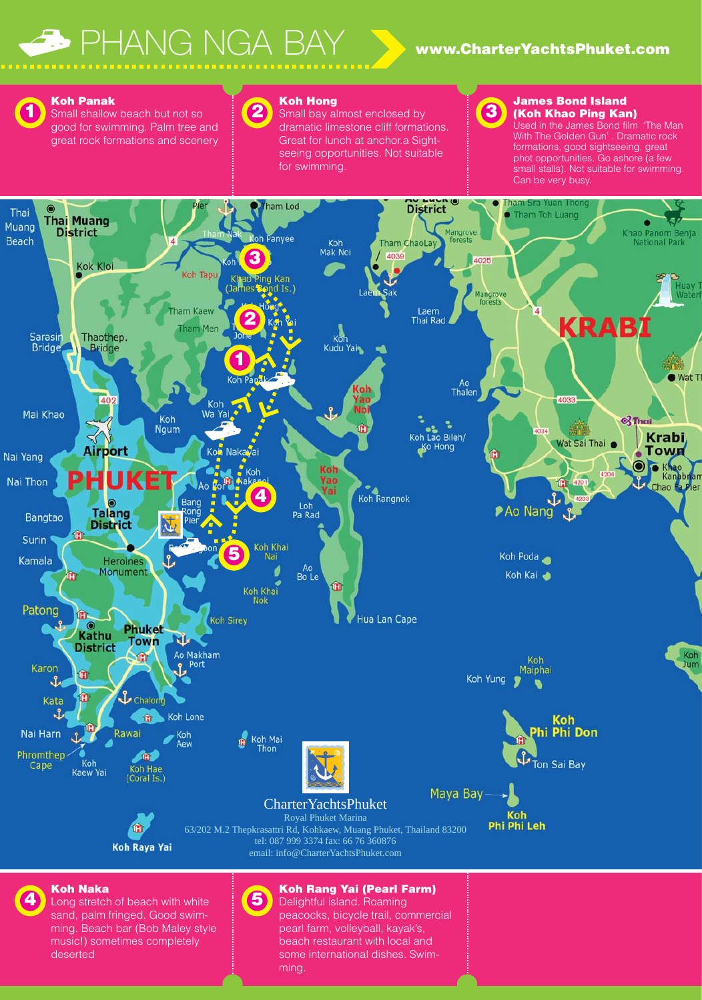# PHANG NGA BAY **www.CharterYachtsPhuket.com**



Small shallow beach but not so good for swimming. Palm tree and great rock formations and scenery

### **2 Koh Hong**

Small bay almost enclosed by dramatic limestone cliff formations. Great for lunch at anchor.a Sightseeing opportunities. Not suitable for swimming.

## **3**

### **James Bond Island (Koh Khao Ping Kan)**

Used in the James Bond film 'The Man With The Golden Gun' . Dramatic rock formations, good sightseeing, great phot opportunities. Go ashore (a few small stalls). Not suitable for swimming. Can be very busy.



sand, palm fringed. Good swimming. Beach bar (Bob Maley style music!) sometimes completely deserted

peacocks, bicycle trail, commercial pearl farm, volleyball, kayak's, beach restaurant with local and some international dishes. Swimming.